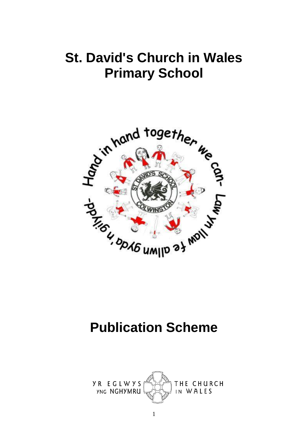# **St. David's Church in Wales Primary School**



# **Publication Scheme**

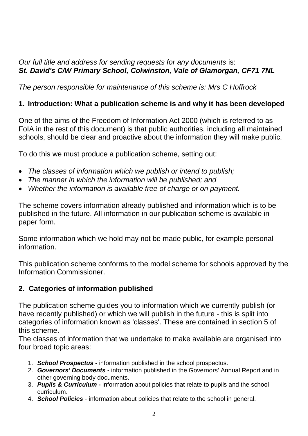## *Our full title and address for sending requests for any documents* is: *St. David's C/W Primary School, Colwinston, Vale of Glamorgan, CF71 7NL*

*The person responsible for maintenance of this scheme is: Mrs C Hoffrock*

# **1. Introduction: What a publication scheme is and why it has been developed**

One of the aims of the Freedom of Information Act 2000 (which is referred to as FoIA in the rest of this document) is that public authorities, including all maintained schools, should be clear and proactive about the information they will make public.

To do this we must produce a publication scheme, setting out:

- *The classes of information which we publish or intend to publish;*
- *The manner in which the information will be published; and*
- *Whether the information is available free of charge or on payment.*

The scheme covers information already published and information which is to be published in the future. All information in our publication scheme is available in paper form.

Some information which we hold may not be made public, for example personal information.

This publication scheme conforms to the model scheme for schools approved by the Information Commissioner.

# **2. Categories of information published**

The publication scheme guides you to information which we currently publish (or have recently published) or which we will publish in the future - this is split into categories of information known as 'classes'. These are contained in section 5 of this scheme.

The classes of information that we undertake to make available are organised into four broad topic areas:

- 1. *School Prospectus* **-** information published in the school prospectus.
- 2. *Governors' Documents* **-** information published in the Governors' Annual Report and in other governing body documents.
- 3. *Pupils & Curriculum* **-** information about policies that relate to pupils and the school curriculum.
- 4. *School Policies* information about policies that relate to the school in general.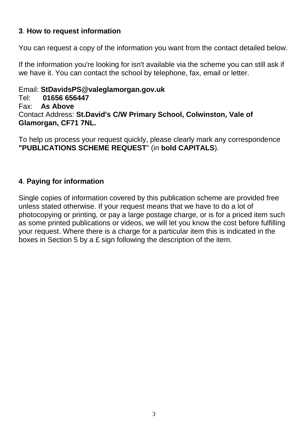### **3**. **How to request information**

You can request a copy of the information you want from the contact detailed below.

If the information you're looking for isn't available via the scheme you can still ask if we have it. You can contact the school by telephone, fax, email or letter.

Email: **StDavidsPS@valeglamorgan.gov.uk** Tel: **01656 656447** Fax: **As Above** Contact Address: **St.David's C/W Primary School, Colwinston, Vale of Glamorgan, CF71 7NL.**

To help us process your request quickly, please clearly mark any correspondence **"PUBLICATIONS SCHEME REQUEST**" (in **bold CAPITALS**).

### **4**. **Paying for information**

Single copies of information covered by this publication scheme are provided free unless stated otherwise. If your request means that we have to do a lot of photocopying or printing, or pay a large postage charge, or is for a priced item such as some printed publications or videos, we will let you know the cost before fulfilling your request. Where there is a charge for a particular item this is indicated in the boxes in Section 5 by a £ sign following the description of the item.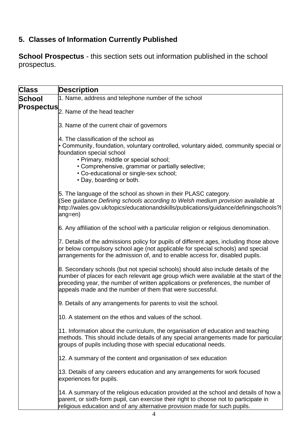# **5. Classes of Information Currently Published**

**School Prospectus** - this section sets out information published in the school prospectus.

| <b>Class</b> | <b>Description</b>                                                                                                                                                                                                                                                                                                            |
|--------------|-------------------------------------------------------------------------------------------------------------------------------------------------------------------------------------------------------------------------------------------------------------------------------------------------------------------------------|
| School       | 1. Name, address and telephone number of the school                                                                                                                                                                                                                                                                           |
|              | <b>Prospectus</b> 2. Name of the head teacher                                                                                                                                                                                                                                                                                 |
|              | 3. Name of the current chair of governors                                                                                                                                                                                                                                                                                     |
|              | 4. The classification of the school as<br>• Community, foundation, voluntary controlled, voluntary aided, community special or<br>foundation special school<br>• Primary, middle or special school;<br>• Comprehensive, grammar or partially selective;<br>• Co-educational or single-sex school;<br>• Day, boarding or both. |
|              | 5. The language of the school as shown in their PLASC category.<br>(See guidance Defining schools according to Welsh medium provision available at<br>http://wales.gov.uk/topics/educationandskills/publications/guidance/definingschools?I<br>ang=en)                                                                        |
|              | 6. Any affiliation of the school with a particular religion or religious denomination.                                                                                                                                                                                                                                        |
|              | 7. Details of the admissions policy for pupils of different ages, including those above<br>or below compulsory school age (not applicable for special schools) and special<br>arrangements for the admission of, and to enable access for, disabled pupils.                                                                   |
|              | 8. Secondary schools (but not special schools) should also include details of the<br>number of places for each relevant age group which were available at the start of the<br>preceding year, the number of written applications or preferences, the number of<br>appeals made and the number of them that were successful.   |
|              | 9. Details of any arrangements for parents to visit the school.                                                                                                                                                                                                                                                               |
|              | 10. A statement on the ethos and values of the school.                                                                                                                                                                                                                                                                        |
|              | 11. Information about the curriculum, the organisation of education and teaching<br>methods. This should include details of any special arrangements made for particular<br>groups of pupils including those with special educational needs.                                                                                  |
|              | 12. A summary of the content and organisation of sex education                                                                                                                                                                                                                                                                |
|              | 13. Details of any careers education and any arrangements for work focused<br>experiences for pupils.                                                                                                                                                                                                                         |
|              | 14. A summary of the religious education provided at the school and details of how a<br>parent, or sixth-form pupil, can exercise their right to choose not to participate in<br>religious education and of any alternative provision made for such pupils.                                                                   |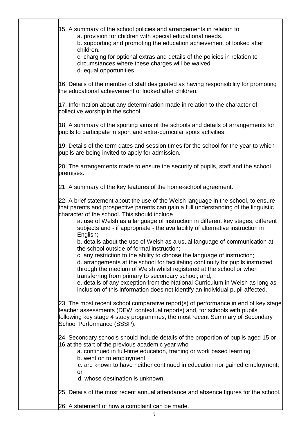15. A summary of the school policies and arrangements in relation to a. provision for children with special educational needs. b. supporting and promoting the education achievement of looked after children. c. charging for optional extras and details of the policies in relation to circumstances where these charges will be waived. d. equal opportunities 16. Details of the member of staff designated as having responsibility for promoting the educational achievement of looked after children. 17. Information about any determination made in relation to the character of collective worship in the school. 18. A summary of the sporting aims of the schools and details of arrangements for pupils to participate in sport and extra-curricular spots activities. 19. Details of the term dates and session times for the school for the year to which pupils are being invited to apply for admission. 20. The arrangements made to ensure the security of pupils, staff and the school premises. 21. A summary of the key features of the home-school agreement. 22. A brief statement about the use of the Welsh language in the school, to ensure that parents and prospective parents can gain a full understanding of the linguistic character of the school. This should include a. use of Welsh as a language of instruction in different key stages, different subjects and - if appropriate - the availability of alternative instruction in English; b. details about the use of Welsh as a usual language of communication at the school outside of formal instruction; c. any restriction to the ability to choose the language of instruction; d. arrangements at the school for facilitating continuity for pupils instructed through the medium of Welsh whilst registered at the school or when transferring from primary to secondary school; and, e. details of any exception from the National Curriculum in Welsh as long as inclusion of this information does not identify an individual pupil affected. 23. The most recent school comparative report(s) of performance in end of key stage teacher assessments (DEWi contextual reports) and, for schools with pupils following key stage 4 study programmes, the most recent Summary of Secondary School Performance (SSSP). 24. Secondary schools should include details of the proportion of pupils aged 15 or 16 at the start of the previous academic year who a. continued in full-time education, training or work based learning b. went on to employment c. are known to have neither continued in education nor gained employment, or d. whose destination is unknown. 25. Details of the most recent annual attendance and absence figures for the school.

26. A statement of how a complaint can be made.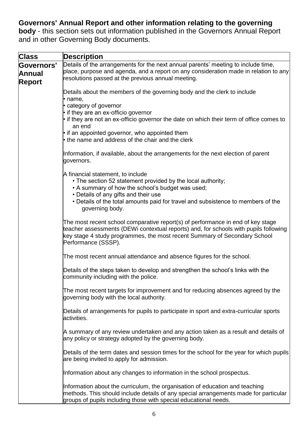# **Governors' Annual Report and other information relating to the governing**

**body** - this section sets out information published in the Governors Annual Report and in other Governing Body documents.

| <b>Class</b>                                        | <b>Description</b>                                                                                                                                                                                                                                                                                                                                                             |
|-----------------------------------------------------|--------------------------------------------------------------------------------------------------------------------------------------------------------------------------------------------------------------------------------------------------------------------------------------------------------------------------------------------------------------------------------|
| <b>Governors'</b><br><b>Annual</b><br><b>Report</b> | Details of the arrangements for the next annual parents' meeting to include time,<br>place, purpose and agenda, and a report on any consideration made in relation to any<br>resolutions passed at the previous annual meeting.                                                                                                                                                |
|                                                     | Details about the members of the governing body and the clerk to include<br>$\cdot$ name,<br>• category of governor<br>• if they are an ex-officio governor<br>• if they are not an ex-officio governor the date on which their term of office comes to<br>an end<br>$\cdot$ if an appointed governor, who appointed them<br>• the name and address of the chair and the clerk |
|                                                     | Information, if available, about the arrangements for the next election of parent<br>governors.                                                                                                                                                                                                                                                                                |
|                                                     | A financial statement, to include<br>• The section 52 statement provided by the local authority;<br>• A summary of how the school's budget was used;<br>• Details of any gifts and their use<br>• Details of the total amounts paid for travel and subsistence to members of the<br>governing body.                                                                            |
|                                                     | The most recent school comparative report(s) of performance in end of key stage<br>teacher assessments (DEWi contextual reports) and, for schools with pupils following<br>key stage 4 study programmes, the most recent Summary of Secondary School<br>Performance (SSSP).                                                                                                    |
|                                                     | The most recent annual attendance and absence figures for the school.                                                                                                                                                                                                                                                                                                          |
|                                                     | Details of the steps taken to develop and strengthen the school's links with the<br>community including with the police.                                                                                                                                                                                                                                                       |
|                                                     | The most recent targets for improvement and for reducing absences agreed by the<br>governing body with the local authority.                                                                                                                                                                                                                                                    |
|                                                     | Details of arrangements for pupils to participate in sport and extra-curricular sports<br>activities.                                                                                                                                                                                                                                                                          |
|                                                     | A summary of any review undertaken and any action taken as a result and details of<br>any policy or strategy adopted by the governing body.                                                                                                                                                                                                                                    |
|                                                     | Details of the term dates and session times for the school for the year for which pupils<br>are being invited to apply for admission.                                                                                                                                                                                                                                          |
|                                                     | Information about any changes to information in the school prospectus.                                                                                                                                                                                                                                                                                                         |
|                                                     | Information about the curriculum, the organisation of education and teaching<br>methods. This should include details of any special arrangements made for particular<br>groups of pupils including those with special educational needs.                                                                                                                                       |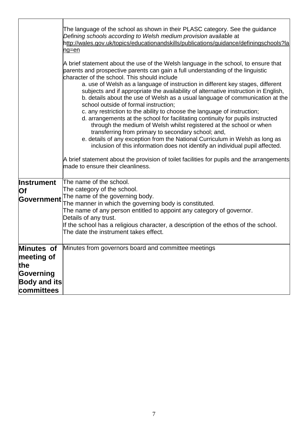|                                                                     | The language of the school as shown in their PLASC category. See the guidance<br>Defining schools according to Welsh medium provision available at<br>http://wales.gov.uk/topics/educationandskills/publications/guidance/definingschools?la<br>ng=en                                                                                                                                                                                                                                                                                                                                                                                                                                                                                                                                                                                                                                                   |
|---------------------------------------------------------------------|---------------------------------------------------------------------------------------------------------------------------------------------------------------------------------------------------------------------------------------------------------------------------------------------------------------------------------------------------------------------------------------------------------------------------------------------------------------------------------------------------------------------------------------------------------------------------------------------------------------------------------------------------------------------------------------------------------------------------------------------------------------------------------------------------------------------------------------------------------------------------------------------------------|
|                                                                     | A brief statement about the use of the Welsh language in the school, to ensure that<br>parents and prospective parents can gain a full understanding of the linguistic<br>character of the school. This should include<br>a. use of Welsh as a language of instruction in different key stages, different<br>subjects and if appropriate the availability of alternative instruction in English,<br>b. details about the use of Welsh as a usual language of communication at the<br>school outside of formal instruction;<br>c. any restriction to the ability to choose the language of instruction;<br>d. arrangements at the school for facilitating continuity for pupils instructed<br>through the medium of Welsh whilst registered at the school or when<br>transferring from primary to secondary school; and,<br>e. details of any exception from the National Curriculum in Welsh as long as |
|                                                                     | inclusion of this information does not identify an individual pupil affected.<br>A brief statement about the provision of toilet facilities for pupils and the arrangements<br>made to ensure their cleanliness.                                                                                                                                                                                                                                                                                                                                                                                                                                                                                                                                                                                                                                                                                        |
| <b>Instrument</b><br>Of<br>Government                               | The name of the school.<br>The category of the school.<br>The name of the governing body.<br>The manner in which the governing body is constituted.<br>The name of any person entitled to appoint any category of governor.<br>Details of any trust.<br>If the school has a religious character, a description of the ethos of the school.<br>The date the instrument takes effect.                                                                                                                                                                                                                                                                                                                                                                                                                                                                                                                     |
| Minutes of<br>meeting of<br>the<br>Governing<br><b>Body and its</b> | Minutes from governors board and committee meetings                                                                                                                                                                                                                                                                                                                                                                                                                                                                                                                                                                                                                                                                                                                                                                                                                                                     |
| committees                                                          |                                                                                                                                                                                                                                                                                                                                                                                                                                                                                                                                                                                                                                                                                                                                                                                                                                                                                                         |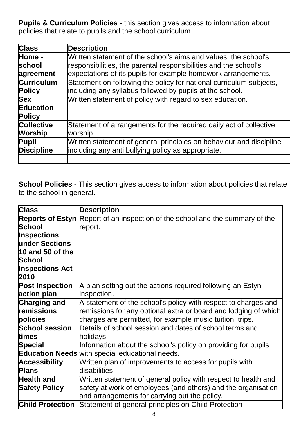**Pupils & Curriculum Policies** - this section gives access to information about policies that relate to pupils and the school curriculum.

| <b>Class</b>      | <b>Description</b>                                                  |
|-------------------|---------------------------------------------------------------------|
| Home -            | Written statement of the school's aims and values, the school's     |
| <b>school</b>     | responsibilities, the parental responsibilities and the school's    |
| agreement         | expectations of its pupils for example homework arrangements.       |
| <b>Curriculum</b> | Statement on following the policy for national curriculum subjects, |
| <b>Policy</b>     | including any syllabus followed by pupils at the school.            |
| <b>Sex</b>        | Written statement of policy with regard to sex education.           |
| <b>Education</b>  |                                                                     |
| <b>Policy</b>     |                                                                     |
| <b>Collective</b> | Statement of arrangements for the required daily act of collective  |
| <b>Worship</b>    | worship.                                                            |
| Pupil             | Written statement of general principles on behaviour and discipline |
| <b>Discipline</b> | including any anti bullying policy as appropriate.                  |
|                   |                                                                     |

**School Policies** - This section gives access to information about policies that relate to the school in general.

| <b>Class</b>            | <b>Description</b>                                                                   |
|-------------------------|--------------------------------------------------------------------------------------|
|                         | <b>Reports of Estyn</b> Report of an inspection of the school and the summary of the |
| <b>School</b>           | report.                                                                              |
| <b>Inspections</b>      |                                                                                      |
| under Sections          |                                                                                      |
| 10 and 50 of the        |                                                                                      |
| <b>School</b>           |                                                                                      |
| <b>Inspections Act</b>  |                                                                                      |
| 2010                    |                                                                                      |
| <b>Post Inspection</b>  | A plan setting out the actions required following an Estyn                           |
| action plan             | inspection.                                                                          |
| <b>Charging and</b>     | A statement of the school's policy with respect to charges and                       |
| remissions              | remissions for any optional extra or board and lodging of which                      |
| policies                | charges are permitted, for example music tuition, trips.                             |
| <b>School session</b>   | Details of school session and dates of school terms and                              |
| times                   | holidays.                                                                            |
| Special                 | Information about the school's policy on providing for pupils                        |
|                         | <b>Education Needs</b> with special educational needs.                               |
| <b>Accessibility</b>    | Written plan of improvements to access for pupils with                               |
| <b>Plans</b>            | disabilities                                                                         |
| <b>Health and</b>       | Written statement of general policy with respect to health and                       |
| <b>Safety Policy</b>    | safety at work of employees (and others) and the organisation                        |
|                         | and arrangements for carrying out the policy.                                        |
| <b>Child Protection</b> | Statement of general principles on Child Protection                                  |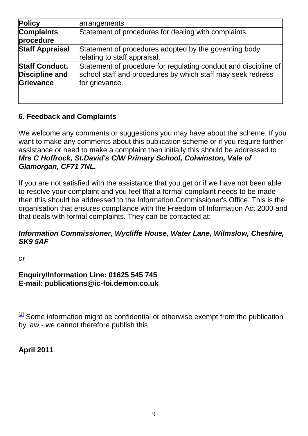| <b>Policy</b>                                               | arrangements                                                                                                                                     |
|-------------------------------------------------------------|--------------------------------------------------------------------------------------------------------------------------------------------------|
| <b>Complaints</b><br>procedure                              | Statement of procedures for dealing with complaints.                                                                                             |
| <b>Staff Appraisal</b>                                      | Statement of procedures adopted by the governing body<br>relating to staff appraisal.                                                            |
| <b>Staff Conduct,</b><br><b>Discipline and</b><br>Grievance | Statement of procedure for regulating conduct and discipline of<br>school staff and procedures by which staff may seek redress<br>for grievance. |

## **6. Feedback and Complaints**

We welcome any comments or suggestions you may have about the scheme. If you want to make any comments about this publication scheme or if you require further assistance or need to make a complaint then initially this should be addressed to *Mrs C Hoffrock, St.David's C/W Primary School, Colwinston, Vale of Glamorgan, CF71 7NL.*

If you are not satisfied with the assistance that you get or if we have not been able to resolve your complaint and you feel that a formal complaint needs to be made then this should be addressed to the Information Commissioner's Office. This is the organisation that ensures compliance with the Freedom of Information Act 2000 and that deals with formal complaints. They can be contacted at:

### *Information Commissioner, Wycliffe House, Water Lane, Wilmslow, Cheshire, SK9 5AF*

*or*

### **Enquiry/Information Line: 01625 545 745 E-mail: publications@ic-foi.demon.co.uk**

 $11$  Some information might be confidential or otherwise exempt from the publication by law - we cannot therefore publish this

**April 2011**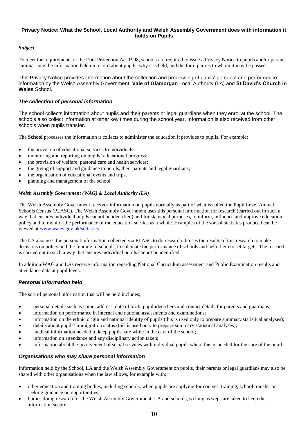#### **Privacy Notice: What the School, Local Authority and Welsh Assembly Government does with information it holds on Pupils**

#### *Subject*

To meet the requirements of the Data Protection Act 1998, schools are required to issue a Privacy Notice to pupils and/or parents summarising the information held on record about pupils, why it is held, and the third parties to whom it may be passed.

This Privacy Notice provides information about the collection and processing of pupils' personal and performance information by the Welsh Assembly Government, **Vale of Glamorgan** Local Authority (LA) and **St David's Church in Wales** School.

#### *The collection of personal information*

The school collects information about pupils and their parents or legal guardians when they enrol at the school. The schools also collect information at other key times during the school year. Information is also received from other schools when pupils transfer.

The **School** processes the information it collects to administer the education it provides to pupils. For example:

- the provision of educational services to individuals;
- monitoring and reporting on pupils' educational progress;
- the provision of welfare, pastoral care and health services;
- the giving of support and guidance to pupils, their parents and legal guardians;
- the organisation of educational events and trips;
- planning and management of the school.

#### *Welsh Assembly Government (WAG) & Local Authority (LA)*

The Welsh Assembly Government receives information on pupils normally as part of what is called the Pupil Level Annual Schools Census (PLASC). The Welsh Assembly Government uses this personal information for research (carried out in such a way that ensures individual pupils cannot be identified) and for statistical purposes, to inform, influence and improve education policy and to monitor the performance of the education service as a whole. Examples of the sort of statistics produced can be viewed at [www.wales.gov.uk/statistics](http://www.wales.gov.uk/statistics)

The LA also uses the personal information collected via PLASC to do research. It uses the results of this research to make decisions on policy and the funding of schools, to calculate the performance of schools and help them to set targets. The research is carried out in such a way that ensures individual pupils cannot be identified.

In addition WAG and LAs receive information regarding National Curriculum assessment and Public Examination results and attendance data at pupil level..

#### *Personal information held*

The sort of personal information that will be held includes;

- personal details such as name, address, date of birth, pupil identifiers and contact details for parents and guardians;
- information on performance in internal and national assessments and examinations;
- information on the ethnic origin and national identity of pupils (this is used only to prepare summary statistical analyses);
- details about pupils' immigration status (this is used only to prepare summary statistical analyses);
- medical information needed to keep pupils safe while in the care of the school;
- information on attendance and any disciplinary action taken;
- information about the involvement of social services with individual pupils where this is needed for the care of the pupil.

#### *Organisations who may share personal information*

Information held by the School, LA and the Welsh Assembly Government on pupils, their parents or legal guardians may also be shared with other organisations when the law allows, for example with;

- other education and training bodies, including schools, when pupils are applying for courses, training, school transfer or seeking guidance on opportunities;
- bodies doing research for the Welsh Assembly Government, LA and schools, so long as steps are taken to keep the information secure;